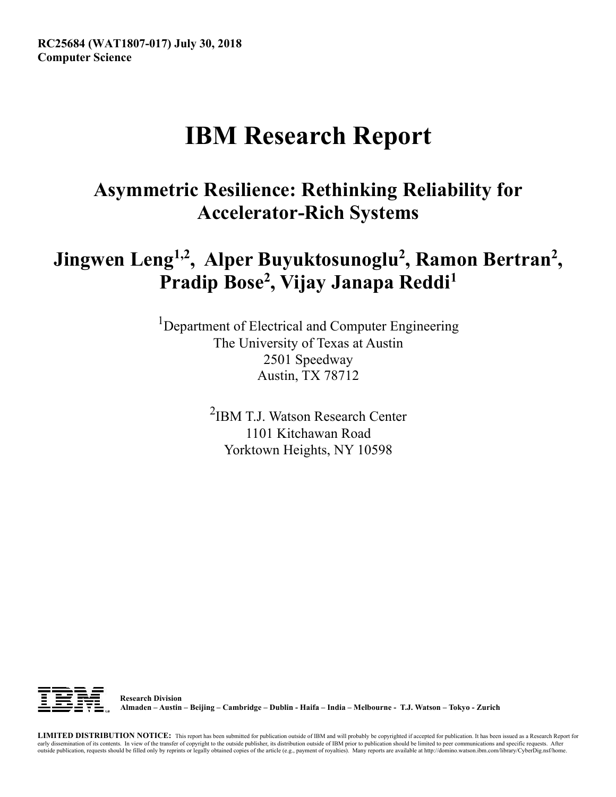# **IBM Research Report**

## **Asymmetric Resilience: Rethinking Reliability for Accelerator-Rich Systems**

## Jingwen Leng<sup>1,2</sup>, Alper Buyuktosunoglu<sup>2</sup>, Ramon Bertran<sup>2</sup>, **Pradip Bose2 , Vijay Janapa Reddi1**

<sup>1</sup>Department of Electrical and Computer Engineering The University of Texas at Austin 2501 Speedway Austin, TX 78712

> 2 IBM T.J. Watson Research Center 1101 Kitchawan Road Yorktown Heights, NY 10598



 **Research Division Almaden – Austin – Beijing – Cambridge – Dublin - Haifa – India – Melbourne - T.J. Watson – Tokyo - Zurich**

**LIMITED DISTRIBUTION NOTICE:** This report has been submitted for publication outside of IBM and will probably be copyrighted if accepted for publication. It has been issued as a Research Report for early dissemination of its contents. In view of the transfer of copyright to the outside publisher, its distribution outside of IBM prior to publication should be limited to peer communications and specific requests. After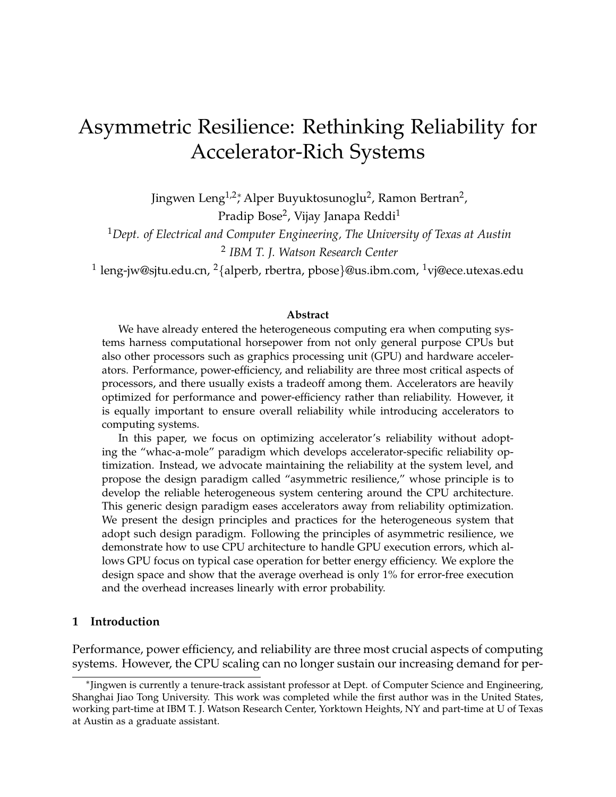## Asymmetric Resilience: Rethinking Reliability for Accelerator-Rich Systems

Jingwen Leng<sup>1,2</sup>\*, Alper Buyuktosunoglu<sup>2</sup>, Ramon Bertran<sup>2</sup>, Pradip Bose<sup>2</sup>, Vijay Janapa Reddi<sup>1</sup>

<sup>1</sup>*Dept. of Electrical and Computer Engineering, The University of Texas at Austin* 2 *IBM T. J. Watson Research Center*

 $^1$  leng-jw@sjtu.edu.cn,  $^2$ {alperb, rbertra, pbose}@us.ibm.com,  $^1$ vj@ece.utexas.edu

#### **Abstract**

We have already entered the heterogeneous computing era when computing systems harness computational horsepower from not only general purpose CPUs but also other processors such as graphics processing unit (GPU) and hardware accelerators. Performance, power-efficiency, and reliability are three most critical aspects of processors, and there usually exists a tradeoff among them. Accelerators are heavily optimized for performance and power-efficiency rather than reliability. However, it is equally important to ensure overall reliability while introducing accelerators to computing systems.

In this paper, we focus on optimizing accelerator's reliability without adopting the "whac-a-mole" paradigm which develops accelerator-specific reliability optimization. Instead, we advocate maintaining the reliability at the system level, and propose the design paradigm called "asymmetric resilience," whose principle is to develop the reliable heterogeneous system centering around the CPU architecture. This generic design paradigm eases accelerators away from reliability optimization. We present the design principles and practices for the heterogeneous system that adopt such design paradigm. Following the principles of asymmetric resilience, we demonstrate how to use CPU architecture to handle GPU execution errors, which allows GPU focus on typical case operation for better energy efficiency. We explore the design space and show that the average overhead is only 1% for error-free execution and the overhead increases linearly with error probability.

#### **1 Introduction**

Performance, power efficiency, and reliability are three most crucial aspects of computing systems. However, the CPU scaling can no longer sustain our increasing demand for per-

<sup>∗</sup> Jingwen is currently a tenure-track assistant professor at Dept. of Computer Science and Engineering, Shanghai Jiao Tong University. This work was completed while the first author was in the United States, working part-time at IBM T. J. Watson Research Center, Yorktown Heights, NY and part-time at U of Texas at Austin as a graduate assistant.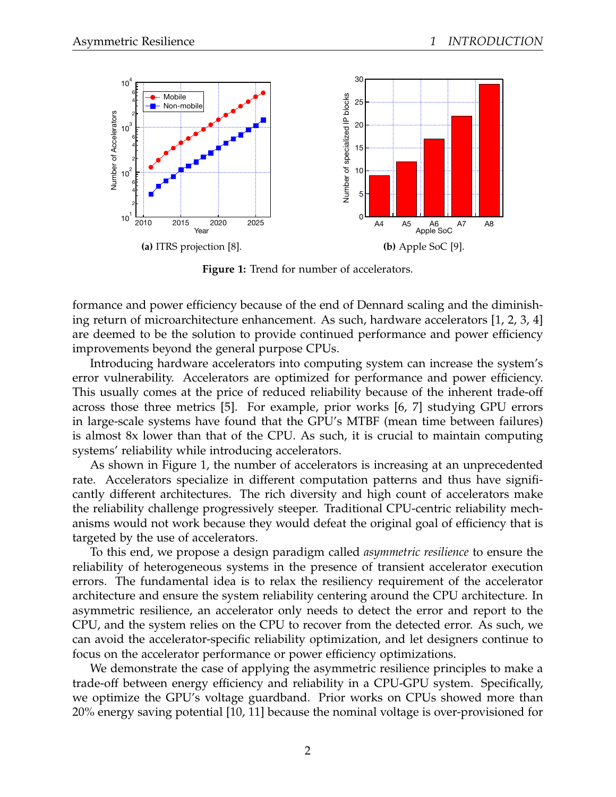

**Figure 1:** Trend for number of accelerators.

formance and power efficiency because of the end of Dennard scaling and the diminishing return of microarchitecture enhancement. As such, hardware accelerators [1, 2, 3, 4] are deemed to be the solution to provide continued performance and power efficiency improvements beyond the general purpose CPUs.

Introducing hardware accelerators into computing system can increase the system's error vulnerability. Accelerators are optimized for performance and power efficiency. This usually comes at the price of reduced reliability because of the inherent trade-off across those three metrics [5]. For example, prior works [6, 7] studying GPU errors in large-scale systems have found that the GPU's MTBF (mean time between failures) is almost 8x lower than that of the CPU. As such, it is crucial to maintain computing systems' reliability while introducing accelerators.

As shown in Figure 1, the number of accelerators is increasing at an unprecedented rate. Accelerators specialize in different computation patterns and thus have significantly different architectures. The rich diversity and high count of accelerators make the reliability challenge progressively steeper. Traditional CPU-centric reliability mechanisms would not work because they would defeat the original goal of efficiency that is targeted by the use of accelerators.

To this end, we propose a design paradigm called *asymmetric resilience* to ensure the reliability of heterogeneous systems in the presence of transient accelerator execution errors. The fundamental idea is to relax the resiliency requirement of the accelerator architecture and ensure the system reliability centering around the CPU architecture. In asymmetric resilience, an accelerator only needs to detect the error and report to the CPU, and the system relies on the CPU to recover from the detected error. As such, we can avoid the accelerator-specific reliability optimization, and let designers continue to focus on the accelerator performance or power efficiency optimizations.

We demonstrate the case of applying the asymmetric resilience principles to make a trade-off between energy efficiency and reliability in a CPU-GPU system. Specifically, we optimize the GPU's voltage guardband. Prior works on CPUs showed more than 20% energy saving potential [10, 11] because the nominal voltage is over-provisioned for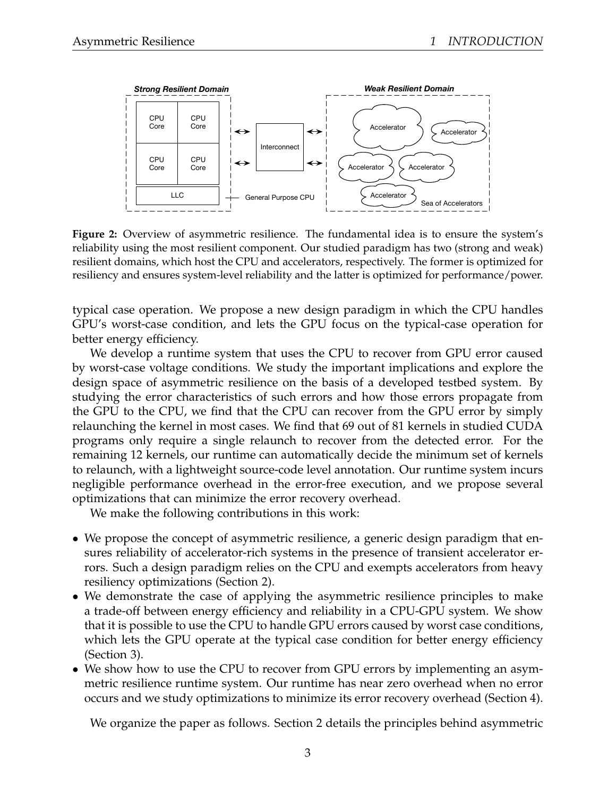

**Figure 2:** Overview of asymmetric resilience. The fundamental idea is to ensure the system's reliability using the most resilient component. Our studied paradigm has two (strong and weak) resilient domains, which host the CPU and accelerators, respectively. The former is optimized for resiliency and ensures system-level reliability and the latter is optimized for performance/power.

typical case operation. We propose a new design paradigm in which the CPU handles GPU's worst-case condition, and lets the GPU focus on the typical-case operation for better energy efficiency.

We develop a runtime system that uses the CPU to recover from GPU error caused by worst-case voltage conditions. We study the important implications and explore the design space of asymmetric resilience on the basis of a developed testbed system. By studying the error characteristics of such errors and how those errors propagate from the GPU to the CPU, we find that the CPU can recover from the GPU error by simply relaunching the kernel in most cases. We find that 69 out of 81 kernels in studied CUDA programs only require a single relaunch to recover from the detected error. For the remaining 12 kernels, our runtime can automatically decide the minimum set of kernels to relaunch, with a lightweight source-code level annotation. Our runtime system incurs negligible performance overhead in the error-free execution, and we propose several optimizations that can minimize the error recovery overhead.

We make the following contributions in this work:

- We propose the concept of asymmetric resilience, a generic design paradigm that ensures reliability of accelerator-rich systems in the presence of transient accelerator errors. Such a design paradigm relies on the CPU and exempts accelerators from heavy resiliency optimizations (Section 2).
- We demonstrate the case of applying the asymmetric resilience principles to make a trade-off between energy efficiency and reliability in a CPU-GPU system. We show that it is possible to use the CPU to handle GPU errors caused by worst case conditions, which lets the GPU operate at the typical case condition for better energy efficiency (Section 3).
- We show how to use the CPU to recover from GPU errors by implementing an asymmetric resilience runtime system. Our runtime has near zero overhead when no error occurs and we study optimizations to minimize its error recovery overhead (Section 4).

We organize the paper as follows. Section 2 details the principles behind asymmetric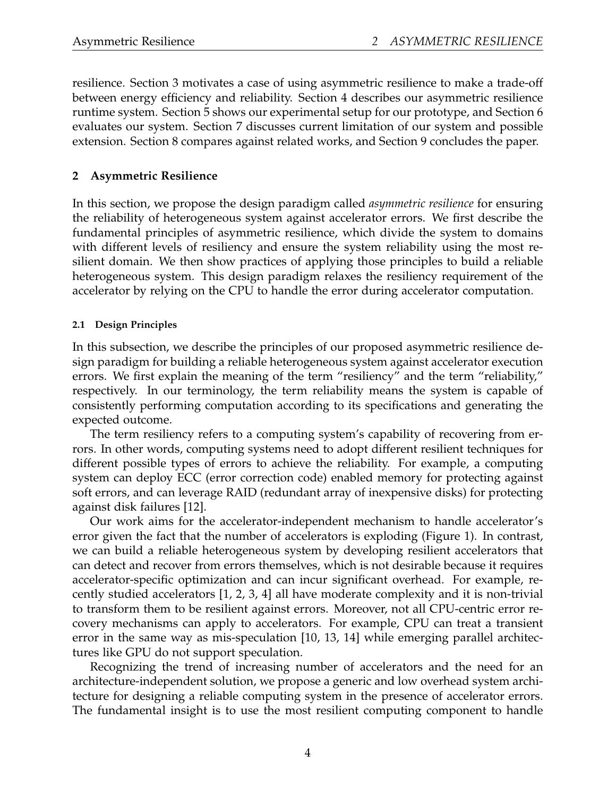resilience. Section 3 motivates a case of using asymmetric resilience to make a trade-off between energy efficiency and reliability. Section 4 describes our asymmetric resilience runtime system. Section 5 shows our experimental setup for our prototype, and Section 6 evaluates our system. Section 7 discusses current limitation of our system and possible extension. Section 8 compares against related works, and Section 9 concludes the paper.

### **2 Asymmetric Resilience**

In this section, we propose the design paradigm called *asymmetric resilience* for ensuring the reliability of heterogeneous system against accelerator errors. We first describe the fundamental principles of asymmetric resilience, which divide the system to domains with different levels of resiliency and ensure the system reliability using the most resilient domain. We then show practices of applying those principles to build a reliable heterogeneous system. This design paradigm relaxes the resiliency requirement of the accelerator by relying on the CPU to handle the error during accelerator computation.

#### **2.1 Design Principles**

In this subsection, we describe the principles of our proposed asymmetric resilience design paradigm for building a reliable heterogeneous system against accelerator execution errors. We first explain the meaning of the term "resiliency" and the term "reliability," respectively. In our terminology, the term reliability means the system is capable of consistently performing computation according to its specifications and generating the expected outcome.

The term resiliency refers to a computing system's capability of recovering from errors. In other words, computing systems need to adopt different resilient techniques for different possible types of errors to achieve the reliability. For example, a computing system can deploy ECC (error correction code) enabled memory for protecting against soft errors, and can leverage RAID (redundant array of inexpensive disks) for protecting against disk failures [12].

Our work aims for the accelerator-independent mechanism to handle accelerator's error given the fact that the number of accelerators is exploding (Figure 1). In contrast, we can build a reliable heterogeneous system by developing resilient accelerators that can detect and recover from errors themselves, which is not desirable because it requires accelerator-specific optimization and can incur significant overhead. For example, recently studied accelerators [1, 2, 3, 4] all have moderate complexity and it is non-trivial to transform them to be resilient against errors. Moreover, not all CPU-centric error recovery mechanisms can apply to accelerators. For example, CPU can treat a transient error in the same way as mis-speculation [10, 13, 14] while emerging parallel architectures like GPU do not support speculation.

Recognizing the trend of increasing number of accelerators and the need for an architecture-independent solution, we propose a generic and low overhead system architecture for designing a reliable computing system in the presence of accelerator errors. The fundamental insight is to use the most resilient computing component to handle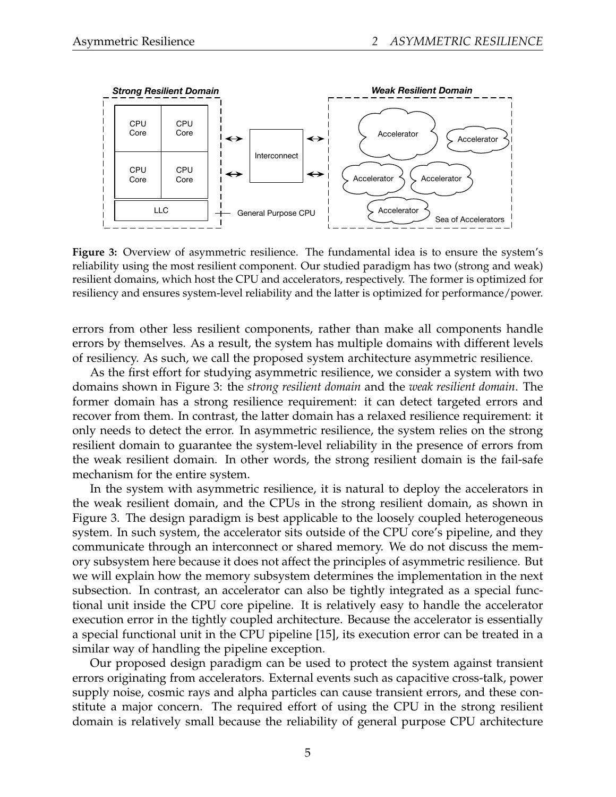

**Figure 3:** Overview of asymmetric resilience. The fundamental idea is to ensure the system's reliability using the most resilient component. Our studied paradigm has two (strong and weak) resilient domains, which host the CPU and accelerators, respectively. The former is optimized for resiliency and ensures system-level reliability and the latter is optimized for performance/power.

errors from other less resilient components, rather than make all components handle errors by themselves. As a result, the system has multiple domains with different levels of resiliency. As such, we call the proposed system architecture asymmetric resilience.

As the first effort for studying asymmetric resilience, we consider a system with two domains shown in Figure 3: the *strong resilient domain* and the *weak resilient domain*. The former domain has a strong resilience requirement: it can detect targeted errors and recover from them. In contrast, the latter domain has a relaxed resilience requirement: it only needs to detect the error. In asymmetric resilience, the system relies on the strong resilient domain to guarantee the system-level reliability in the presence of errors from the weak resilient domain. In other words, the strong resilient domain is the fail-safe mechanism for the entire system.

In the system with asymmetric resilience, it is natural to deploy the accelerators in the weak resilient domain, and the CPUs in the strong resilient domain, as shown in Figure 3. The design paradigm is best applicable to the loosely coupled heterogeneous system. In such system, the accelerator sits outside of the CPU core's pipeline, and they communicate through an interconnect or shared memory. We do not discuss the memory subsystem here because it does not affect the principles of asymmetric resilience. But we will explain how the memory subsystem determines the implementation in the next subsection. In contrast, an accelerator can also be tightly integrated as a special functional unit inside the CPU core pipeline. It is relatively easy to handle the accelerator execution error in the tightly coupled architecture. Because the accelerator is essentially a special functional unit in the CPU pipeline [15], its execution error can be treated in a similar way of handling the pipeline exception.

Our proposed design paradigm can be used to protect the system against transient errors originating from accelerators. External events such as capacitive cross-talk, power supply noise, cosmic rays and alpha particles can cause transient errors, and these constitute a major concern. The required effort of using the CPU in the strong resilient domain is relatively small because the reliability of general purpose CPU architecture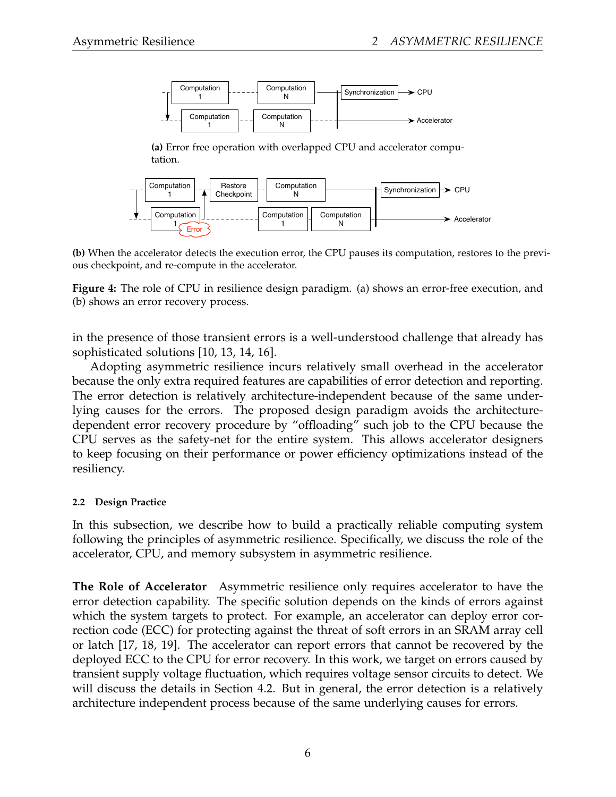

**(a)** Error free operation with overlapped CPU and accelerator computation.



**(b)** When the accelerator detects the execution error, the CPU pauses its computation, restores to the previous checkpoint, and re-compute in the accelerator.

**Figure 4:** The role of CPU in resilience design paradigm. (a) shows an error-free execution, and (b) shows an error recovery process.

in the presence of those transient errors is a well-understood challenge that already has sophisticated solutions [10, 13, 14, 16].

Adopting asymmetric resilience incurs relatively small overhead in the accelerator because the only extra required features are capabilities of error detection and reporting. The error detection is relatively architecture-independent because of the same underlying causes for the errors. The proposed design paradigm avoids the architecturedependent error recovery procedure by "offloading" such job to the CPU because the CPU serves as the safety-net for the entire system. This allows accelerator designers to keep focusing on their performance or power efficiency optimizations instead of the resiliency.

#### **2.2 Design Practice**

In this subsection, we describe how to build a practically reliable computing system following the principles of asymmetric resilience. Specifically, we discuss the role of the accelerator, CPU, and memory subsystem in asymmetric resilience.

**The Role of Accelerator** Asymmetric resilience only requires accelerator to have the error detection capability. The specific solution depends on the kinds of errors against which the system targets to protect. For example, an accelerator can deploy error correction code (ECC) for protecting against the threat of soft errors in an SRAM array cell or latch [17, 18, 19]. The accelerator can report errors that cannot be recovered by the deployed ECC to the CPU for error recovery. In this work, we target on errors caused by transient supply voltage fluctuation, which requires voltage sensor circuits to detect. We will discuss the details in Section 4.2. But in general, the error detection is a relatively architecture independent process because of the same underlying causes for errors.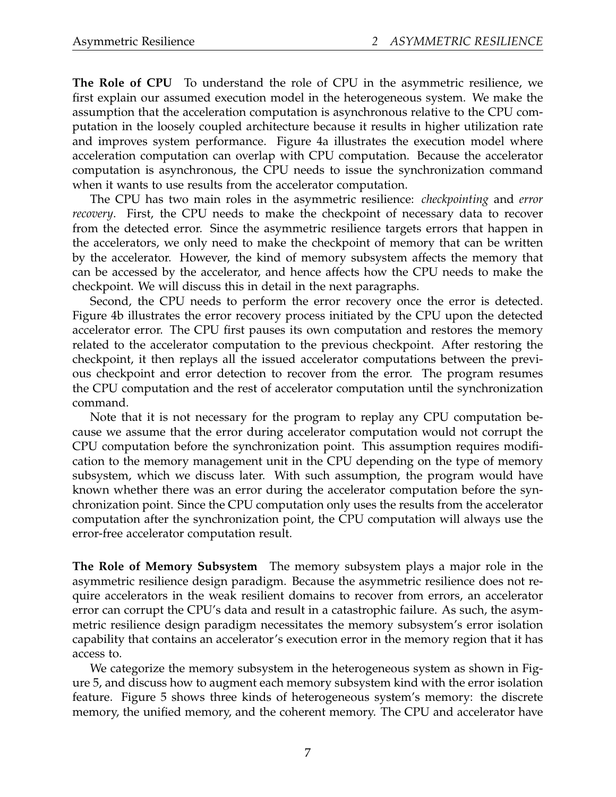**The Role of CPU** To understand the role of CPU in the asymmetric resilience, we first explain our assumed execution model in the heterogeneous system. We make the assumption that the acceleration computation is asynchronous relative to the CPU computation in the loosely coupled architecture because it results in higher utilization rate and improves system performance. Figure 4a illustrates the execution model where acceleration computation can overlap with CPU computation. Because the accelerator computation is asynchronous, the CPU needs to issue the synchronization command when it wants to use results from the accelerator computation.

The CPU has two main roles in the asymmetric resilience: *checkpointing* and *error recovery*. First, the CPU needs to make the checkpoint of necessary data to recover from the detected error. Since the asymmetric resilience targets errors that happen in the accelerators, we only need to make the checkpoint of memory that can be written by the accelerator. However, the kind of memory subsystem affects the memory that can be accessed by the accelerator, and hence affects how the CPU needs to make the checkpoint. We will discuss this in detail in the next paragraphs.

Second, the CPU needs to perform the error recovery once the error is detected. Figure 4b illustrates the error recovery process initiated by the CPU upon the detected accelerator error. The CPU first pauses its own computation and restores the memory related to the accelerator computation to the previous checkpoint. After restoring the checkpoint, it then replays all the issued accelerator computations between the previous checkpoint and error detection to recover from the error. The program resumes the CPU computation and the rest of accelerator computation until the synchronization command.

Note that it is not necessary for the program to replay any CPU computation because we assume that the error during accelerator computation would not corrupt the CPU computation before the synchronization point. This assumption requires modification to the memory management unit in the CPU depending on the type of memory subsystem, which we discuss later. With such assumption, the program would have known whether there was an error during the accelerator computation before the synchronization point. Since the CPU computation only uses the results from the accelerator computation after the synchronization point, the CPU computation will always use the error-free accelerator computation result.

**The Role of Memory Subsystem** The memory subsystem plays a major role in the asymmetric resilience design paradigm. Because the asymmetric resilience does not require accelerators in the weak resilient domains to recover from errors, an accelerator error can corrupt the CPU's data and result in a catastrophic failure. As such, the asymmetric resilience design paradigm necessitates the memory subsystem's error isolation capability that contains an accelerator's execution error in the memory region that it has access to.

We categorize the memory subsystem in the heterogeneous system as shown in Figure 5, and discuss how to augment each memory subsystem kind with the error isolation feature. Figure 5 shows three kinds of heterogeneous system's memory: the discrete memory, the unified memory, and the coherent memory. The CPU and accelerator have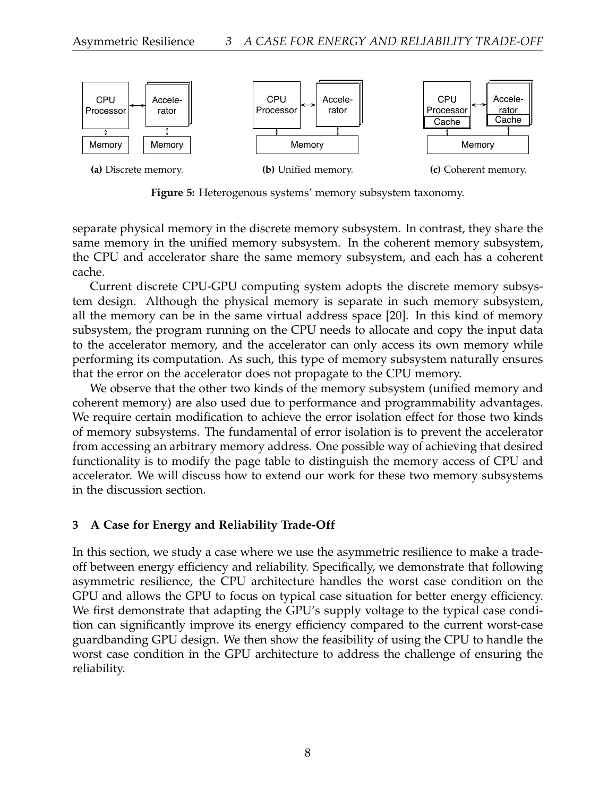

**Figure 5:** Heterogenous systems' memory subsystem taxonomy.

separate physical memory in the discrete memory subsystem. In contrast, they share the same memory in the unified memory subsystem. In the coherent memory subsystem, the CPU and accelerator share the same memory subsystem, and each has a coherent cache.

Current discrete CPU-GPU computing system adopts the discrete memory subsystem design. Although the physical memory is separate in such memory subsystem, all the memory can be in the same virtual address space [20]. In this kind of memory subsystem, the program running on the CPU needs to allocate and copy the input data to the accelerator memory, and the accelerator can only access its own memory while performing its computation. As such, this type of memory subsystem naturally ensures that the error on the accelerator does not propagate to the CPU memory.

We observe that the other two kinds of the memory subsystem (unified memory and coherent memory) are also used due to performance and programmability advantages. We require certain modification to achieve the error isolation effect for those two kinds of memory subsystems. The fundamental of error isolation is to prevent the accelerator from accessing an arbitrary memory address. One possible way of achieving that desired functionality is to modify the page table to distinguish the memory access of CPU and accelerator. We will discuss how to extend our work for these two memory subsystems in the discussion section.

### **3 A Case for Energy and Reliability Trade-Off**

In this section, we study a case where we use the asymmetric resilience to make a tradeoff between energy efficiency and reliability. Specifically, we demonstrate that following asymmetric resilience, the CPU architecture handles the worst case condition on the GPU and allows the GPU to focus on typical case situation for better energy efficiency. We first demonstrate that adapting the GPU's supply voltage to the typical case condition can significantly improve its energy efficiency compared to the current worst-case guardbanding GPU design. We then show the feasibility of using the CPU to handle the worst case condition in the GPU architecture to address the challenge of ensuring the reliability.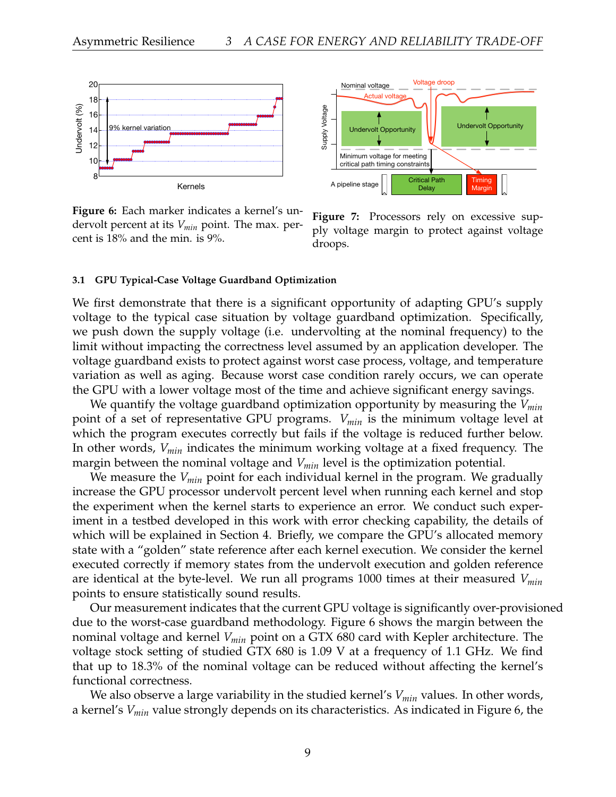

**Figure 6:** Each marker indicates a kernel's undervolt percent at its *Vmin* point. The max. percent is 18% and the min. is 9%.



**Figure 7:** Processors rely on excessive supply voltage margin to protect against voltage droops.

#### **3.1 GPU Typical-Case Voltage Guardband Optimization**

We first demonstrate that there is a significant opportunity of adapting GPU's supply voltage to the typical case situation by voltage guardband optimization. Specifically, we push down the supply voltage (i.e. undervolting at the nominal frequency) to the limit without impacting the correctness level assumed by an application developer. The voltage guardband exists to protect against worst case process, voltage, and temperature variation as well as aging. Because worst case condition rarely occurs, we can operate the GPU with a lower voltage most of the time and achieve significant energy savings.

We quantify the voltage guardband optimization opportunity by measuring the *Vmin* point of a set of representative GPU programs. *Vmin* is the minimum voltage level at which the program executes correctly but fails if the voltage is reduced further below. In other words, *Vmin* indicates the minimum working voltage at a fixed frequency. The margin between the nominal voltage and *Vmin* level is the optimization potential.

We measure the *Vmin* point for each individual kernel in the program. We gradually increase the GPU processor undervolt percent level when running each kernel and stop the experiment when the kernel starts to experience an error. We conduct such experiment in a testbed developed in this work with error checking capability, the details of which will be explained in Section 4. Briefly, we compare the GPU's allocated memory state with a "golden" state reference after each kernel execution. We consider the kernel executed correctly if memory states from the undervolt execution and golden reference are identical at the byte-level. We run all programs 1000 times at their measured *Vmin* points to ensure statistically sound results.

Our measurement indicates that the current GPU voltage is significantly over-provisioned due to the worst-case guardband methodology. Figure 6 shows the margin between the nominal voltage and kernel *Vmin* point on a GTX 680 card with Kepler architecture. The voltage stock setting of studied GTX 680 is 1.09 V at a frequency of 1.1 GHz. We find that up to 18.3% of the nominal voltage can be reduced without affecting the kernel's functional correctness.

We also observe a large variability in the studied kernel's *Vmin* values. In other words, a kernel's *Vmin* value strongly depends on its characteristics. As indicated in Figure 6, the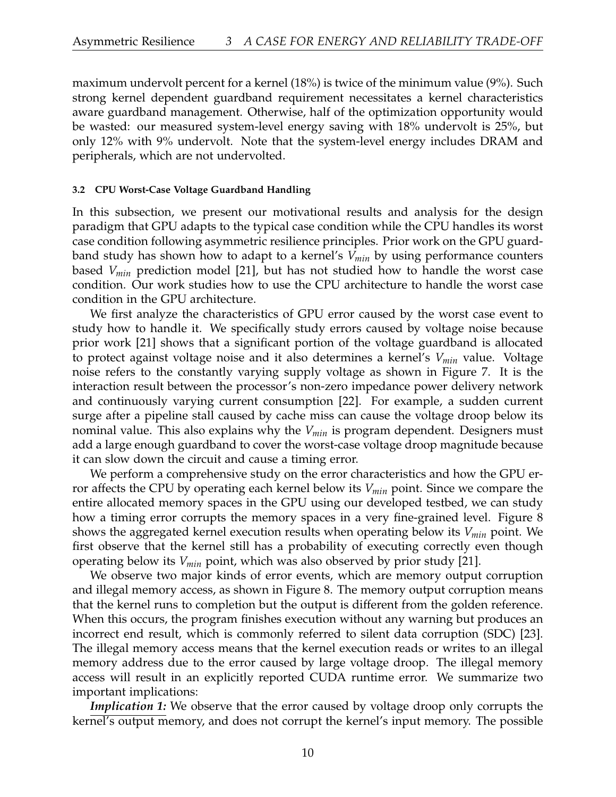maximum undervolt percent for a kernel (18%) is twice of the minimum value (9%). Such strong kernel dependent guardband requirement necessitates a kernel characteristics aware guardband management. Otherwise, half of the optimization opportunity would be wasted: our measured system-level energy saving with 18% undervolt is 25%, but only 12% with 9% undervolt. Note that the system-level energy includes DRAM and peripherals, which are not undervolted.

#### **3.2 CPU Worst-Case Voltage Guardband Handling**

In this subsection, we present our motivational results and analysis for the design paradigm that GPU adapts to the typical case condition while the CPU handles its worst case condition following asymmetric resilience principles. Prior work on the GPU guardband study has shown how to adapt to a kernel's *Vmin* by using performance counters based *Vmin* prediction model [21], but has not studied how to handle the worst case condition. Our work studies how to use the CPU architecture to handle the worst case condition in the GPU architecture.

We first analyze the characteristics of GPU error caused by the worst case event to study how to handle it. We specifically study errors caused by voltage noise because prior work [21] shows that a significant portion of the voltage guardband is allocated to protect against voltage noise and it also determines a kernel's *Vmin* value. Voltage noise refers to the constantly varying supply voltage as shown in Figure 7. It is the interaction result between the processor's non-zero impedance power delivery network and continuously varying current consumption [22]. For example, a sudden current surge after a pipeline stall caused by cache miss can cause the voltage droop below its nominal value. This also explains why the *Vmin* is program dependent. Designers must add a large enough guardband to cover the worst-case voltage droop magnitude because it can slow down the circuit and cause a timing error.

We perform a comprehensive study on the error characteristics and how the GPU error affects the CPU by operating each kernel below its *Vmin* point. Since we compare the entire allocated memory spaces in the GPU using our developed testbed, we can study how a timing error corrupts the memory spaces in a very fine-grained level. Figure 8 shows the aggregated kernel execution results when operating below its *Vmin* point. We first observe that the kernel still has a probability of executing correctly even though operating below its *Vmin* point, which was also observed by prior study [21].

We observe two major kinds of error events, which are memory output corruption and illegal memory access, as shown in Figure 8. The memory output corruption means that the kernel runs to completion but the output is different from the golden reference. When this occurs, the program finishes execution without any warning but produces an incorrect end result, which is commonly referred to silent data corruption (SDC) [23]. The illegal memory access means that the kernel execution reads or writes to an illegal memory address due to the error caused by large voltage droop. The illegal memory access will result in an explicitly reported CUDA runtime error. We summarize two important implications:

*Implication 1:* We observe that the error caused by voltage droop only corrupts the kernel's output memory, and does not corrupt the kernel's input memory. The possible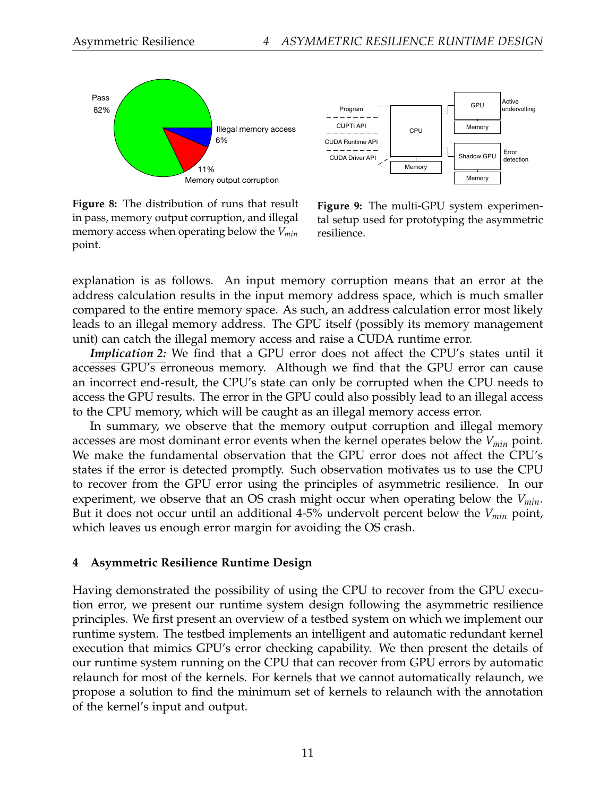



**Figure 8:** The distribution of runs that result in pass, memory output corruption, and illegal memory access when operating below the *Vmin* point.

**Figure 9:** The multi-GPU system experimental setup used for prototyping the asymmetric resilience.

explanation is as follows. An input memory corruption means that an error at the address calculation results in the input memory address space, which is much smaller compared to the entire memory space. As such, an address calculation error most likely leads to an illegal memory address. The GPU itself (possibly its memory management unit) can catch the illegal memory access and raise a CUDA runtime error.

*Implication 2:* We find that a GPU error does not affect the CPU's states until it accesses GPU's erroneous memory. Although we find that the GPU error can cause an incorrect end-result, the CPU's state can only be corrupted when the CPU needs to access the GPU results. The error in the GPU could also possibly lead to an illegal access to the CPU memory, which will be caught as an illegal memory access error.

In summary, we observe that the memory output corruption and illegal memory accesses are most dominant error events when the kernel operates below the *Vmin* point. We make the fundamental observation that the GPU error does not affect the CPU's states if the error is detected promptly. Such observation motivates us to use the CPU to recover from the GPU error using the principles of asymmetric resilience. In our experiment, we observe that an OS crash might occur when operating below the *Vmin*. But it does not occur until an additional 4-5% undervolt percent below the *Vmin* point, which leaves us enough error margin for avoiding the OS crash.

#### **4 Asymmetric Resilience Runtime Design**

Having demonstrated the possibility of using the CPU to recover from the GPU execution error, we present our runtime system design following the asymmetric resilience principles. We first present an overview of a testbed system on which we implement our runtime system. The testbed implements an intelligent and automatic redundant kernel execution that mimics GPU's error checking capability. We then present the details of our runtime system running on the CPU that can recover from GPU errors by automatic relaunch for most of the kernels. For kernels that we cannot automatically relaunch, we propose a solution to find the minimum set of kernels to relaunch with the annotation of the kernel's input and output.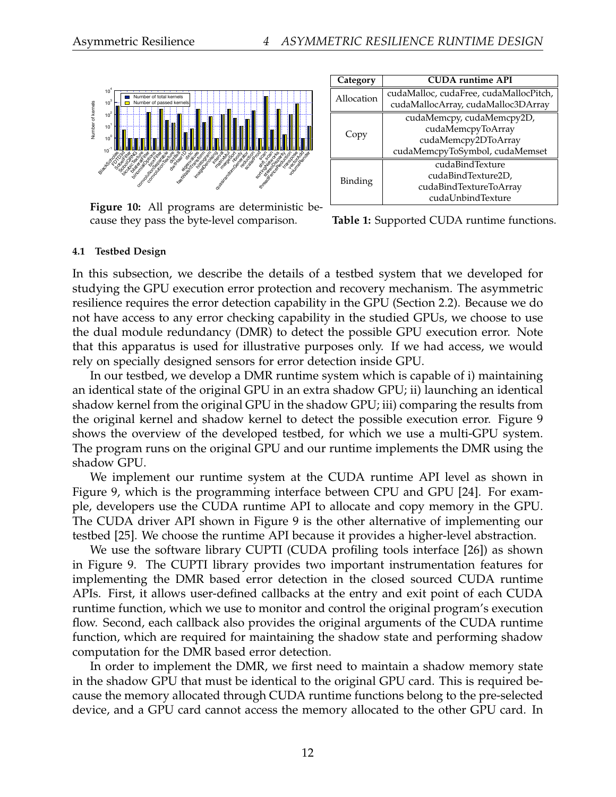

**Figure 10:** All programs are deterministic because they pass the byte-level comparison.

| Category   | <b>CUDA</b> runtime API                |  |  |  |  |
|------------|----------------------------------------|--|--|--|--|
| Allocation | cudaMalloc, cudaFree, cudaMallocPitch, |  |  |  |  |
|            | cudaMallocArray, cudaMalloc3DArray     |  |  |  |  |
| Copy       | cudaMemcpy, cudaMemcpy2D,              |  |  |  |  |
|            | cudaMemcpyToArray                      |  |  |  |  |
|            | cudaMemcpy2DToArray                    |  |  |  |  |
|            | cudaMemcpyToSymbol, cudaMemset         |  |  |  |  |
| Binding    | cudaBindTexture                        |  |  |  |  |
|            | cudaBindTexture2D,                     |  |  |  |  |
|            | cudaBindTextureToArray                 |  |  |  |  |
|            | cudaUnbindTexture                      |  |  |  |  |

**Table 1:** Supported CUDA runtime functions.

#### **4.1 Testbed Design**

In this subsection, we describe the details of a testbed system that we developed for studying the GPU execution error protection and recovery mechanism. The asymmetric resilience requires the error detection capability in the GPU (Section 2.2). Because we do not have access to any error checking capability in the studied GPUs, we choose to use the dual module redundancy (DMR) to detect the possible GPU execution error. Note that this apparatus is used for illustrative purposes only. If we had access, we would rely on specially designed sensors for error detection inside GPU.

In our testbed, we develop a DMR runtime system which is capable of i) maintaining an identical state of the original GPU in an extra shadow GPU; ii) launching an identical shadow kernel from the original GPU in the shadow GPU; iii) comparing the results from the original kernel and shadow kernel to detect the possible execution error. Figure 9 shows the overview of the developed testbed, for which we use a multi-GPU system. The program runs on the original GPU and our runtime implements the DMR using the shadow GPU.

We implement our runtime system at the CUDA runtime API level as shown in Figure 9, which is the programming interface between CPU and GPU [24]. For example, developers use the CUDA runtime API to allocate and copy memory in the GPU. The CUDA driver API shown in Figure 9 is the other alternative of implementing our testbed [25]. We choose the runtime API because it provides a higher-level abstraction.

We use the software library CUPTI (CUDA profiling tools interface [26]) as shown in Figure 9. The CUPTI library provides two important instrumentation features for implementing the DMR based error detection in the closed sourced CUDA runtime APIs. First, it allows user-defined callbacks at the entry and exit point of each CUDA runtime function, which we use to monitor and control the original program's execution flow. Second, each callback also provides the original arguments of the CUDA runtime function, which are required for maintaining the shadow state and performing shadow computation for the DMR based error detection.

In order to implement the DMR, we first need to maintain a shadow memory state in the shadow GPU that must be identical to the original GPU card. This is required because the memory allocated through CUDA runtime functions belong to the pre-selected device, and a GPU card cannot access the memory allocated to the other GPU card. In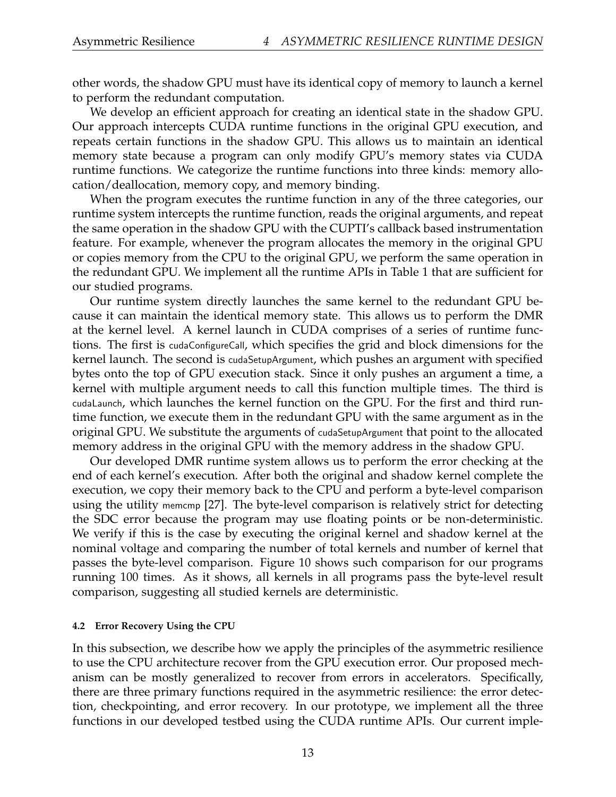other words, the shadow GPU must have its identical copy of memory to launch a kernel to perform the redundant computation.

We develop an efficient approach for creating an identical state in the shadow GPU. Our approach intercepts CUDA runtime functions in the original GPU execution, and repeats certain functions in the shadow GPU. This allows us to maintain an identical memory state because a program can only modify GPU's memory states via CUDA runtime functions. We categorize the runtime functions into three kinds: memory allocation/deallocation, memory copy, and memory binding.

When the program executes the runtime function in any of the three categories, our runtime system intercepts the runtime function, reads the original arguments, and repeat the same operation in the shadow GPU with the CUPTI's callback based instrumentation feature. For example, whenever the program allocates the memory in the original GPU or copies memory from the CPU to the original GPU, we perform the same operation in the redundant GPU. We implement all the runtime APIs in Table 1 that are sufficient for our studied programs.

Our runtime system directly launches the same kernel to the redundant GPU because it can maintain the identical memory state. This allows us to perform the DMR at the kernel level. A kernel launch in CUDA comprises of a series of runtime functions. The first is cudaConfigureCall, which specifies the grid and block dimensions for the kernel launch. The second is cudaSetupArgument, which pushes an argument with specified bytes onto the top of GPU execution stack. Since it only pushes an argument a time, a kernel with multiple argument needs to call this function multiple times. The third is cudaLaunch, which launches the kernel function on the GPU. For the first and third runtime function, we execute them in the redundant GPU with the same argument as in the original GPU. We substitute the arguments of cudaSetupArgument that point to the allocated memory address in the original GPU with the memory address in the shadow GPU.

Our developed DMR runtime system allows us to perform the error checking at the end of each kernel's execution. After both the original and shadow kernel complete the execution, we copy their memory back to the CPU and perform a byte-level comparison using the utility memcmp [27]. The byte-level comparison is relatively strict for detecting the SDC error because the program may use floating points or be non-deterministic. We verify if this is the case by executing the original kernel and shadow kernel at the nominal voltage and comparing the number of total kernels and number of kernel that passes the byte-level comparison. Figure 10 shows such comparison for our programs running 100 times. As it shows, all kernels in all programs pass the byte-level result comparison, suggesting all studied kernels are deterministic.

#### **4.2 Error Recovery Using the CPU**

In this subsection, we describe how we apply the principles of the asymmetric resilience to use the CPU architecture recover from the GPU execution error. Our proposed mechanism can be mostly generalized to recover from errors in accelerators. Specifically, there are three primary functions required in the asymmetric resilience: the error detection, checkpointing, and error recovery. In our prototype, we implement all the three functions in our developed testbed using the CUDA runtime APIs. Our current imple-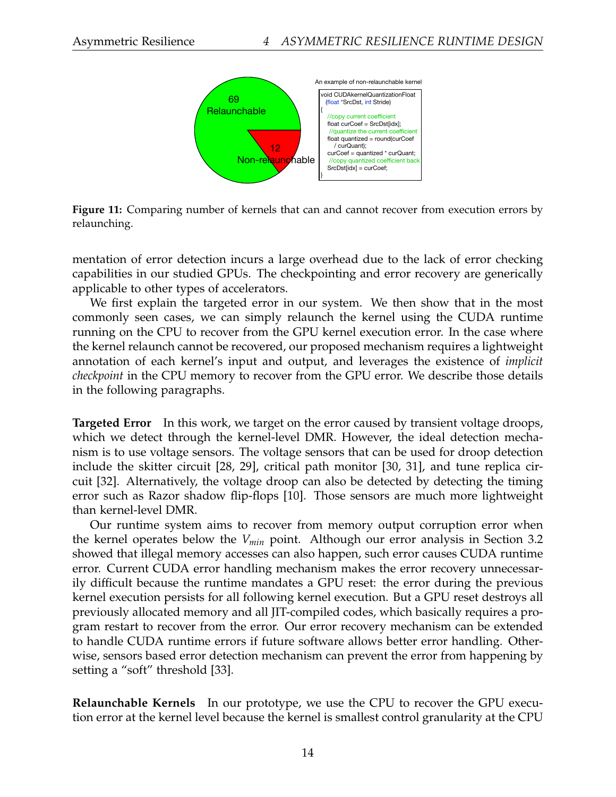

**Figure 11:** Comparing number of kernels that can and cannot recover from execution errors by relaunching.

mentation of error detection incurs a large overhead due to the lack of error checking capabilities in our studied GPUs. The checkpointing and error recovery are generically applicable to other types of accelerators.

We first explain the targeted error in our system. We then show that in the most commonly seen cases, we can simply relaunch the kernel using the CUDA runtime running on the CPU to recover from the GPU kernel execution error. In the case where the kernel relaunch cannot be recovered, our proposed mechanism requires a lightweight annotation of each kernel's input and output, and leverages the existence of *implicit checkpoint* in the CPU memory to recover from the GPU error. We describe those details in the following paragraphs.

**Targeted Error** In this work, we target on the error caused by transient voltage droops, which we detect through the kernel-level DMR. However, the ideal detection mechanism is to use voltage sensors. The voltage sensors that can be used for droop detection include the skitter circuit [28, 29], critical path monitor [30, 31], and tune replica circuit [32]. Alternatively, the voltage droop can also be detected by detecting the timing error such as Razor shadow flip-flops [10]. Those sensors are much more lightweight than kernel-level DMR.

Our runtime system aims to recover from memory output corruption error when the kernel operates below the *Vmin* point. Although our error analysis in Section 3.2 showed that illegal memory accesses can also happen, such error causes CUDA runtime error. Current CUDA error handling mechanism makes the error recovery unnecessarily difficult because the runtime mandates a GPU reset: the error during the previous kernel execution persists for all following kernel execution. But a GPU reset destroys all previously allocated memory and all JIT-compiled codes, which basically requires a program restart to recover from the error. Our error recovery mechanism can be extended to handle CUDA runtime errors if future software allows better error handling. Otherwise, sensors based error detection mechanism can prevent the error from happening by setting a "soft" threshold [33].

**Relaunchable Kernels** In our prototype, we use the CPU to recover the GPU execution error at the kernel level because the kernel is smallest control granularity at the CPU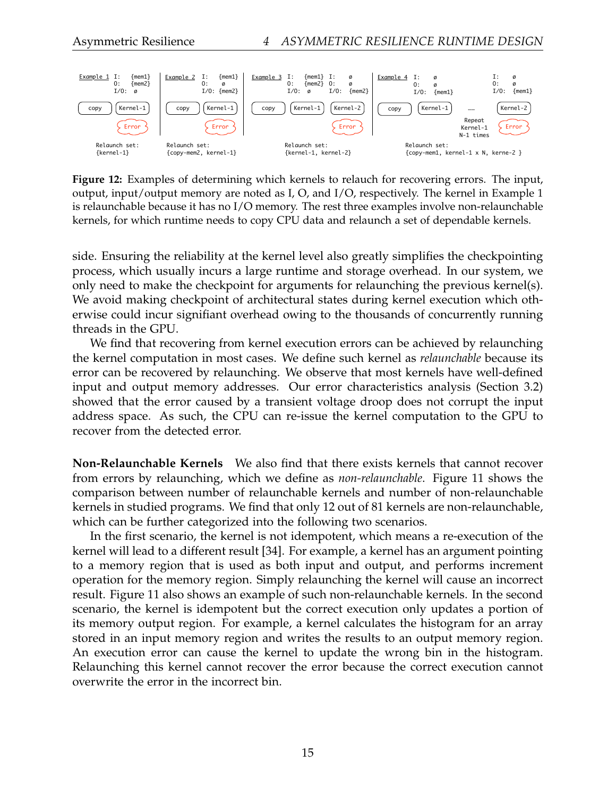

**Figure 12:** Examples of determining which kernels to relauch for recovering errors. The input, output, input/output memory are noted as I, O, and I/O, respectively. The kernel in Example 1 is relaunchable because it has no I/O memory. The rest three examples involve non-relaunchable kernels, for which runtime needs to copy CPU data and relaunch a set of dependable kernels.

side. Ensuring the reliability at the kernel level also greatly simplifies the checkpointing process, which usually incurs a large runtime and storage overhead. In our system, we only need to make the checkpoint for arguments for relaunching the previous kernel(s). We avoid making checkpoint of architectural states during kernel execution which otherwise could incur signifiant overhead owing to the thousands of concurrently running threads in the GPU.

We find that recovering from kernel execution errors can be achieved by relaunching the kernel computation in most cases. We define such kernel as *relaunchable* because its error can be recovered by relaunching. We observe that most kernels have well-defined input and output memory addresses. Our error characteristics analysis (Section 3.2) showed that the error caused by a transient voltage droop does not corrupt the input address space. As such, the CPU can re-issue the kernel computation to the GPU to recover from the detected error.

**Non-Relaunchable Kernels** We also find that there exists kernels that cannot recover from errors by relaunching, which we define as *non-relaunchable*. Figure 11 shows the comparison between number of relaunchable kernels and number of non-relaunchable kernels in studied programs. We find that only 12 out of 81 kernels are non-relaunchable, which can be further categorized into the following two scenarios.

In the first scenario, the kernel is not idempotent, which means a re-execution of the kernel will lead to a different result [34]. For example, a kernel has an argument pointing to a memory region that is used as both input and output, and performs increment operation for the memory region. Simply relaunching the kernel will cause an incorrect result. Figure 11 also shows an example of such non-relaunchable kernels. In the second scenario, the kernel is idempotent but the correct execution only updates a portion of its memory output region. For example, a kernel calculates the histogram for an array stored in an input memory region and writes the results to an output memory region. An execution error can cause the kernel to update the wrong bin in the histogram. Relaunching this kernel cannot recover the error because the correct execution cannot overwrite the error in the incorrect bin.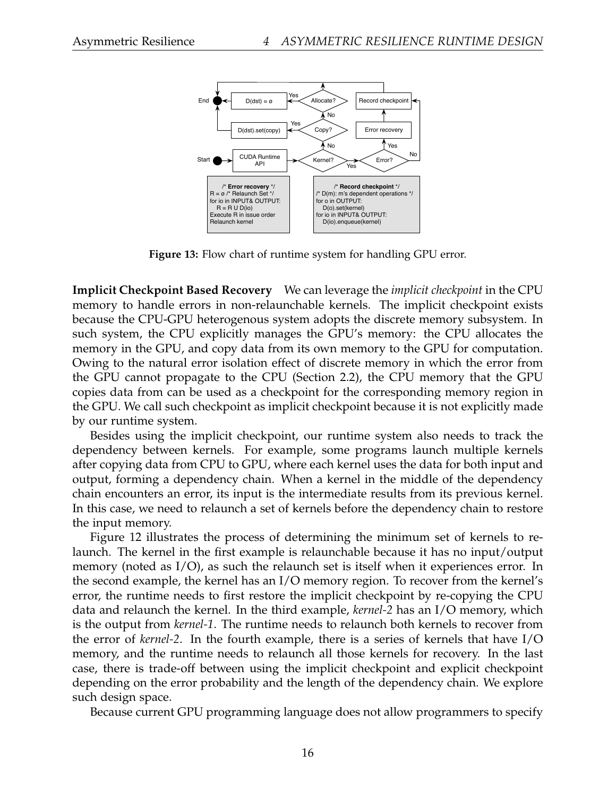

**Figure 13:** Flow chart of runtime system for handling GPU error.

**Implicit Checkpoint Based Recovery** We can leverage the *implicit checkpoint* in the CPU memory to handle errors in non-relaunchable kernels. The implicit checkpoint exists because the CPU-GPU heterogenous system adopts the discrete memory subsystem. In such system, the CPU explicitly manages the GPU's memory: the CPU allocates the memory in the GPU, and copy data from its own memory to the GPU for computation. Owing to the natural error isolation effect of discrete memory in which the error from the GPU cannot propagate to the CPU (Section 2.2), the CPU memory that the GPU copies data from can be used as a checkpoint for the corresponding memory region in the GPU. We call such checkpoint as implicit checkpoint because it is not explicitly made by our runtime system.

Besides using the implicit checkpoint, our runtime system also needs to track the dependency between kernels. For example, some programs launch multiple kernels after copying data from CPU to GPU, where each kernel uses the data for both input and output, forming a dependency chain. When a kernel in the middle of the dependency chain encounters an error, its input is the intermediate results from its previous kernel. In this case, we need to relaunch a set of kernels before the dependency chain to restore the input memory.

Figure 12 illustrates the process of determining the minimum set of kernels to relaunch. The kernel in the first example is relaunchable because it has no input/output memory (noted as I/O), as such the relaunch set is itself when it experiences error. In the second example, the kernel has an I/O memory region. To recover from the kernel's error, the runtime needs to first restore the implicit checkpoint by re-copying the CPU data and relaunch the kernel. In the third example, *kernel-2* has an I/O memory, which is the output from *kernel-1*. The runtime needs to relaunch both kernels to recover from the error of *kernel-2*. In the fourth example, there is a series of kernels that have I/O memory, and the runtime needs to relaunch all those kernels for recovery. In the last case, there is trade-off between using the implicit checkpoint and explicit checkpoint depending on the error probability and the length of the dependency chain. We explore such design space.

Because current GPU programming language does not allow programmers to specify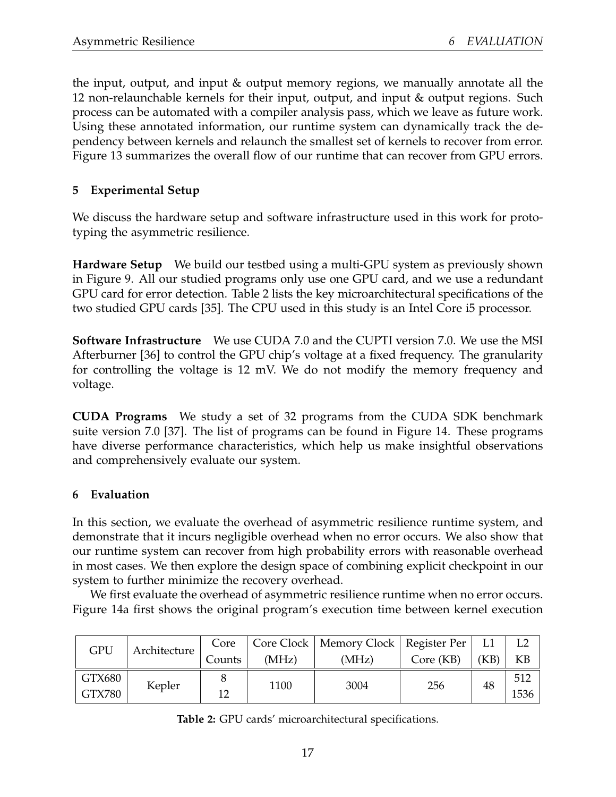the input, output, and input & output memory regions, we manually annotate all the 12 non-relaunchable kernels for their input, output, and input & output regions. Such process can be automated with a compiler analysis pass, which we leave as future work. Using these annotated information, our runtime system can dynamically track the dependency between kernels and relaunch the smallest set of kernels to recover from error. Figure 13 summarizes the overall flow of our runtime that can recover from GPU errors.

## **5 Experimental Setup**

We discuss the hardware setup and software infrastructure used in this work for prototyping the asymmetric resilience.

**Hardware Setup** We build our testbed using a multi-GPU system as previously shown in Figure 9. All our studied programs only use one GPU card, and we use a redundant GPU card for error detection. Table 2 lists the key microarchitectural specifications of the two studied GPU cards [35]. The CPU used in this study is an Intel Core i5 processor.

**Software Infrastructure** We use CUDA 7.0 and the CUPTI version 7.0. We use the MSI Afterburner [36] to control the GPU chip's voltage at a fixed frequency. The granularity for controlling the voltage is 12 mV. We do not modify the memory frequency and voltage.

**CUDA Programs** We study a set of 32 programs from the CUDA SDK benchmark suite version 7.0 [37]. The list of programs can be found in Figure 14. These programs have diverse performance characteristics, which help us make insightful observations and comprehensively evaluate our system.

## **6 Evaluation**

In this section, we evaluate the overhead of asymmetric resilience runtime system, and demonstrate that it incurs negligible overhead when no error occurs. We also show that our runtime system can recover from high probability errors with reasonable overhead in most cases. We then explore the design space of combining explicit checkpoint in our system to further minimize the recovery overhead.

We first evaluate the overhead of asymmetric resilience runtime when no error occurs. Figure 14a first shows the original program's execution time between kernel execution

| GPU    | Architecture | Core   |       | Core Clock   Memory Clock   Register Per |           |      |           |
|--------|--------------|--------|-------|------------------------------------------|-----------|------|-----------|
|        |              | Counts | (MHz) | (MHz)                                    | Core (KB) | (KB) | <b>KB</b> |
| GTX680 | Kepler       |        | 1100  | 3004                                     | 256       | 48   | 512       |
| GTX780 |              | 12     |       |                                          |           |      | 1536      |

**Table 2:** GPU cards' microarchitectural specifications.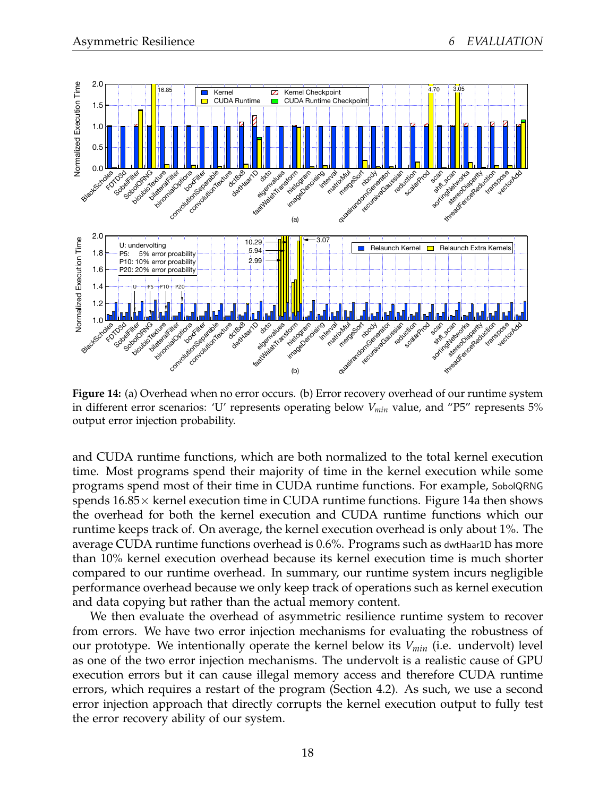

**Figure 14:** (a) Overhead when no error occurs. (b) Error recovery overhead of our runtime system in different error scenarios: 'U' represents operating below *Vmin* value, and "P5" represents 5% output error injection probability.

and CUDA runtime functions, which are both normalized to the total kernel execution time. Most programs spend their majority of time in the kernel execution while some programs spend most of their time in CUDA runtime functions. For example, SobolQRNG spends  $16.85\times$  kernel execution time in CUDA runtime functions. Figure 14a then shows the overhead for both the kernel execution and CUDA runtime functions which our runtime keeps track of. On average, the kernel execution overhead is only about 1%. The average CUDA runtime functions overhead is 0.6%. Programs such as dwtHaar1D has more than 10% kernel execution overhead because its kernel execution time is much shorter compared to our runtime overhead. In summary, our runtime system incurs negligible performance overhead because we only keep track of operations such as kernel execution and data copying but rather than the actual memory content.

We then evaluate the overhead of asymmetric resilience runtime system to recover from errors. We have two error injection mechanisms for evaluating the robustness of our prototype. We intentionally operate the kernel below its *Vmin* (i.e. undervolt) level as one of the two error injection mechanisms. The undervolt is a realistic cause of GPU execution errors but it can cause illegal memory access and therefore CUDA runtime errors, which requires a restart of the program (Section 4.2). As such, we use a second error injection approach that directly corrupts the kernel execution output to fully test the error recovery ability of our system.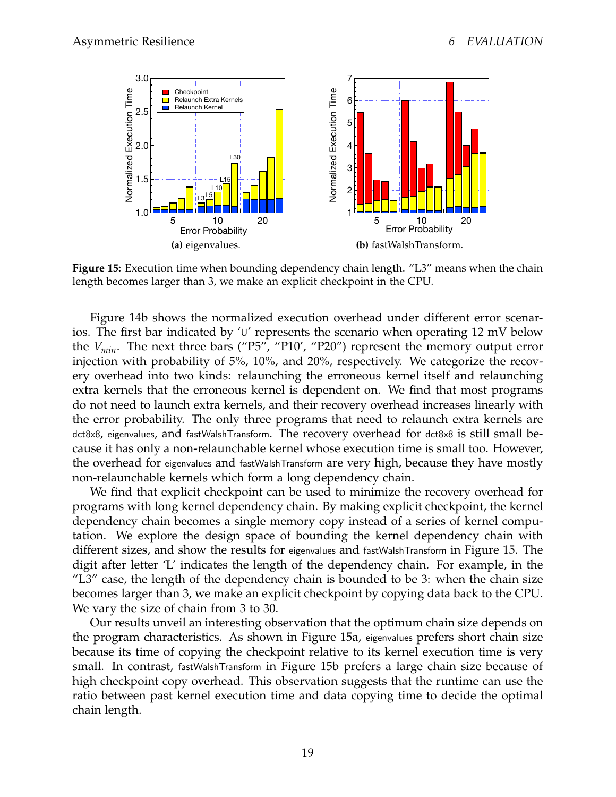

**Figure 15:** Execution time when bounding dependency chain length. "L3" means when the chain length becomes larger than 3, we make an explicit checkpoint in the CPU.

Figure 14b shows the normalized execution overhead under different error scenarios. The first bar indicated by 'U' represents the scenario when operating 12 mV below the *Vmin*. The next three bars ("P5", "P10', "P20") represent the memory output error injection with probability of 5%, 10%, and 20%, respectively. We categorize the recovery overhead into two kinds: relaunching the erroneous kernel itself and relaunching extra kernels that the erroneous kernel is dependent on. We find that most programs do not need to launch extra kernels, and their recovery overhead increases linearly with the error probability. The only three programs that need to relaunch extra kernels are dct8x8, eigenvalues, and fastWalshTransform. The recovery overhead for dct8x8 is still small because it has only a non-relaunchable kernel whose execution time is small too. However, the overhead for eigenvalues and fastWalshTransform are very high, because they have mostly non-relaunchable kernels which form a long dependency chain.

We find that explicit checkpoint can be used to minimize the recovery overhead for programs with long kernel dependency chain. By making explicit checkpoint, the kernel dependency chain becomes a single memory copy instead of a series of kernel computation. We explore the design space of bounding the kernel dependency chain with different sizes, and show the results for eigenvalues and fastWalshTransform in Figure 15. The digit after letter 'L' indicates the length of the dependency chain. For example, in the "L3" case, the length of the dependency chain is bounded to be 3: when the chain size becomes larger than 3, we make an explicit checkpoint by copying data back to the CPU. We vary the size of chain from 3 to 30.

Our results unveil an interesting observation that the optimum chain size depends on the program characteristics. As shown in Figure 15a, eigenvalues prefers short chain size because its time of copying the checkpoint relative to its kernel execution time is very small. In contrast, fastWalshTransform in Figure 15b prefers a large chain size because of high checkpoint copy overhead. This observation suggests that the runtime can use the ratio between past kernel execution time and data copying time to decide the optimal chain length.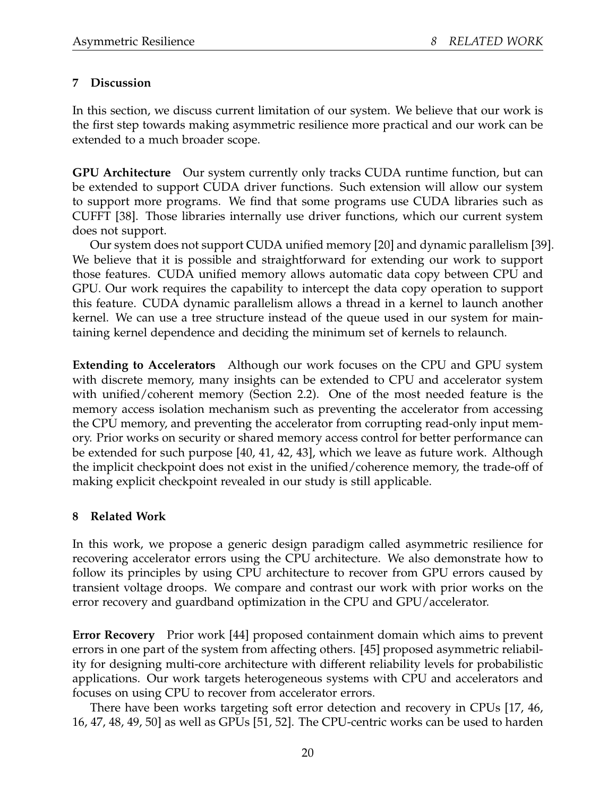## **7 Discussion**

In this section, we discuss current limitation of our system. We believe that our work is the first step towards making asymmetric resilience more practical and our work can be extended to a much broader scope.

**GPU Architecture** Our system currently only tracks CUDA runtime function, but can be extended to support CUDA driver functions. Such extension will allow our system to support more programs. We find that some programs use CUDA libraries such as CUFFT [38]. Those libraries internally use driver functions, which our current system does not support.

Our system does not support CUDA unified memory [20] and dynamic parallelism [39]. We believe that it is possible and straightforward for extending our work to support those features. CUDA unified memory allows automatic data copy between CPU and GPU. Our work requires the capability to intercept the data copy operation to support this feature. CUDA dynamic parallelism allows a thread in a kernel to launch another kernel. We can use a tree structure instead of the queue used in our system for maintaining kernel dependence and deciding the minimum set of kernels to relaunch.

**Extending to Accelerators** Although our work focuses on the CPU and GPU system with discrete memory, many insights can be extended to CPU and accelerator system with unified/coherent memory (Section 2.2). One of the most needed feature is the memory access isolation mechanism such as preventing the accelerator from accessing the CPU memory, and preventing the accelerator from corrupting read-only input memory. Prior works on security or shared memory access control for better performance can be extended for such purpose [40, 41, 42, 43], which we leave as future work. Although the implicit checkpoint does not exist in the unified/coherence memory, the trade-off of making explicit checkpoint revealed in our study is still applicable.

## **8 Related Work**

In this work, we propose a generic design paradigm called asymmetric resilience for recovering accelerator errors using the CPU architecture. We also demonstrate how to follow its principles by using CPU architecture to recover from GPU errors caused by transient voltage droops. We compare and contrast our work with prior works on the error recovery and guardband optimization in the CPU and GPU/accelerator.

**Error Recovery** Prior work [44] proposed containment domain which aims to prevent errors in one part of the system from affecting others. [45] proposed asymmetric reliability for designing multi-core architecture with different reliability levels for probabilistic applications. Our work targets heterogeneous systems with CPU and accelerators and focuses on using CPU to recover from accelerator errors.

There have been works targeting soft error detection and recovery in CPUs [17, 46, 16, 47, 48, 49, 50] as well as GPUs [51, 52]. The CPU-centric works can be used to harden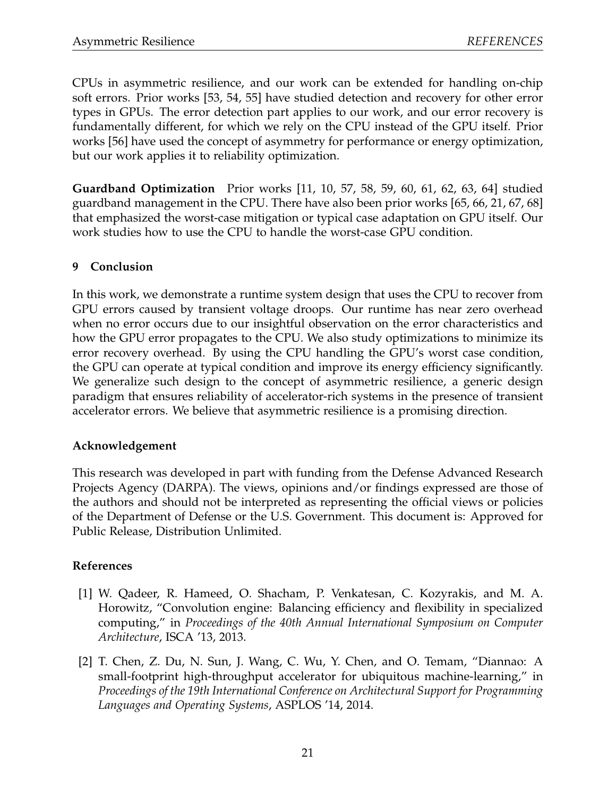CPUs in asymmetric resilience, and our work can be extended for handling on-chip soft errors. Prior works [53, 54, 55] have studied detection and recovery for other error types in GPUs. The error detection part applies to our work, and our error recovery is fundamentally different, for which we rely on the CPU instead of the GPU itself. Prior works [56] have used the concept of asymmetry for performance or energy optimization, but our work applies it to reliability optimization.

**Guardband Optimization** Prior works [11, 10, 57, 58, 59, 60, 61, 62, 63, 64] studied guardband management in the CPU. There have also been prior works [65, 66, 21, 67, 68] that emphasized the worst-case mitigation or typical case adaptation on GPU itself. Our work studies how to use the CPU to handle the worst-case GPU condition.

## **9 Conclusion**

In this work, we demonstrate a runtime system design that uses the CPU to recover from GPU errors caused by transient voltage droops. Our runtime has near zero overhead when no error occurs due to our insightful observation on the error characteristics and how the GPU error propagates to the CPU. We also study optimizations to minimize its error recovery overhead. By using the CPU handling the GPU's worst case condition, the GPU can operate at typical condition and improve its energy efficiency significantly. We generalize such design to the concept of asymmetric resilience, a generic design paradigm that ensures reliability of accelerator-rich systems in the presence of transient accelerator errors. We believe that asymmetric resilience is a promising direction.

## **Acknowledgement**

This research was developed in part with funding from the Defense Advanced Research Projects Agency (DARPA). The views, opinions and/or findings expressed are those of the authors and should not be interpreted as representing the official views or policies of the Department of Defense or the U.S. Government. This document is: Approved for Public Release, Distribution Unlimited.

## **References**

- [1] W. Qadeer, R. Hameed, O. Shacham, P. Venkatesan, C. Kozyrakis, and M. A. Horowitz, "Convolution engine: Balancing efficiency and flexibility in specialized computing," in *Proceedings of the 40th Annual International Symposium on Computer Architecture*, ISCA '13, 2013.
- [2] T. Chen, Z. Du, N. Sun, J. Wang, C. Wu, Y. Chen, and O. Temam, "Diannao: A small-footprint high-throughput accelerator for ubiquitous machine-learning," in *Proceedings of the 19th International Conference on Architectural Support for Programming Languages and Operating Systems*, ASPLOS '14, 2014.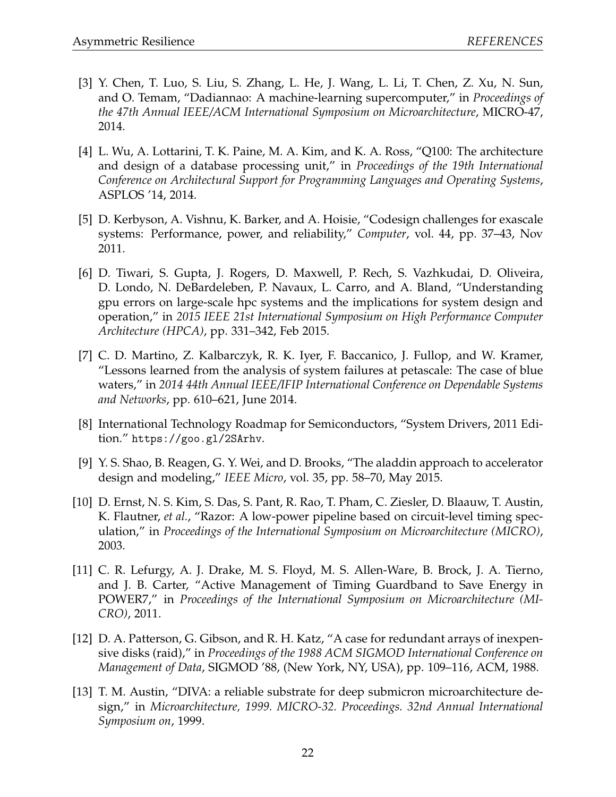- [3] Y. Chen, T. Luo, S. Liu, S. Zhang, L. He, J. Wang, L. Li, T. Chen, Z. Xu, N. Sun, and O. Temam, "Dadiannao: A machine-learning supercomputer," in *Proceedings of the 47th Annual IEEE/ACM International Symposium on Microarchitecture*, MICRO-47, 2014.
- [4] L. Wu, A. Lottarini, T. K. Paine, M. A. Kim, and K. A. Ross, "Q100: The architecture and design of a database processing unit," in *Proceedings of the 19th International Conference on Architectural Support for Programming Languages and Operating Systems*, ASPLOS '14, 2014.
- [5] D. Kerbyson, A. Vishnu, K. Barker, and A. Hoisie, "Codesign challenges for exascale systems: Performance, power, and reliability," *Computer*, vol. 44, pp. 37–43, Nov 2011.
- [6] D. Tiwari, S. Gupta, J. Rogers, D. Maxwell, P. Rech, S. Vazhkudai, D. Oliveira, D. Londo, N. DeBardeleben, P. Navaux, L. Carro, and A. Bland, "Understanding gpu errors on large-scale hpc systems and the implications for system design and operation," in *2015 IEEE 21st International Symposium on High Performance Computer Architecture (HPCA)*, pp. 331–342, Feb 2015.
- [7] C. D. Martino, Z. Kalbarczyk, R. K. Iyer, F. Baccanico, J. Fullop, and W. Kramer, "Lessons learned from the analysis of system failures at petascale: The case of blue waters," in *2014 44th Annual IEEE/IFIP International Conference on Dependable Systems and Networks*, pp. 610–621, June 2014.
- [8] International Technology Roadmap for Semiconductors, "System Drivers, 2011 Edition." https://goo.gl/2SArhv.
- [9] Y. S. Shao, B. Reagen, G. Y. Wei, and D. Brooks, "The aladdin approach to accelerator design and modeling," *IEEE Micro*, vol. 35, pp. 58–70, May 2015.
- [10] D. Ernst, N. S. Kim, S. Das, S. Pant, R. Rao, T. Pham, C. Ziesler, D. Blaauw, T. Austin, K. Flautner, *et al.*, "Razor: A low-power pipeline based on circuit-level timing speculation," in *Proceedings of the International Symposium on Microarchitecture (MICRO)*, 2003.
- [11] C. R. Lefurgy, A. J. Drake, M. S. Floyd, M. S. Allen-Ware, B. Brock, J. A. Tierno, and J. B. Carter, "Active Management of Timing Guardband to Save Energy in POWER7," in *Proceedings of the International Symposium on Microarchitecture (MI-CRO)*, 2011.
- [12] D. A. Patterson, G. Gibson, and R. H. Katz, "A case for redundant arrays of inexpensive disks (raid)," in *Proceedings of the 1988 ACM SIGMOD International Conference on Management of Data*, SIGMOD '88, (New York, NY, USA), pp. 109–116, ACM, 1988.
- [13] T. M. Austin, "DIVA: a reliable substrate for deep submicron microarchitecture design," in *Microarchitecture, 1999. MICRO-32. Proceedings. 32nd Annual International Symposium on*, 1999.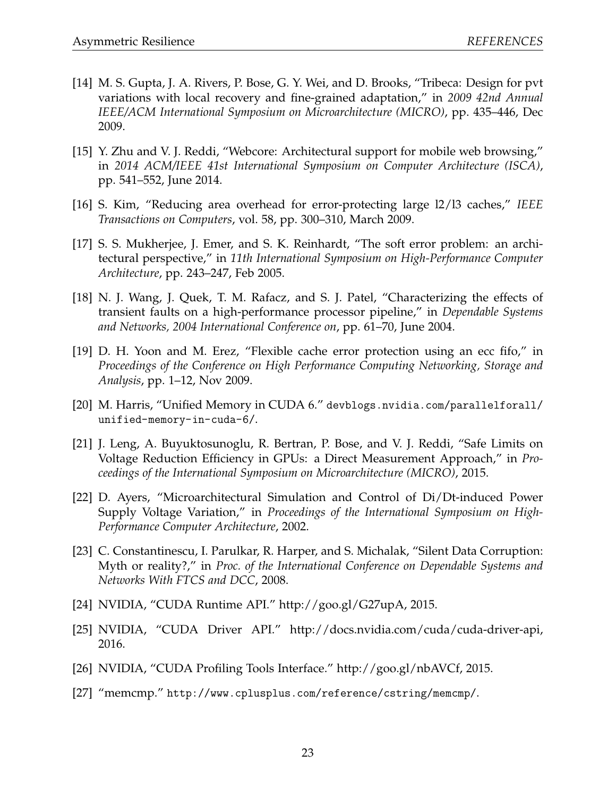- [14] M. S. Gupta, J. A. Rivers, P. Bose, G. Y. Wei, and D. Brooks, "Tribeca: Design for pvt variations with local recovery and fine-grained adaptation," in *2009 42nd Annual IEEE/ACM International Symposium on Microarchitecture (MICRO)*, pp. 435–446, Dec 2009.
- [15] Y. Zhu and V. J. Reddi, "Webcore: Architectural support for mobile web browsing," in *2014 ACM/IEEE 41st International Symposium on Computer Architecture (ISCA)*, pp. 541–552, June 2014.
- [16] S. Kim, "Reducing area overhead for error-protecting large l2/l3 caches," *IEEE Transactions on Computers*, vol. 58, pp. 300–310, March 2009.
- [17] S. S. Mukherjee, J. Emer, and S. K. Reinhardt, "The soft error problem: an architectural perspective," in *11th International Symposium on High-Performance Computer Architecture*, pp. 243–247, Feb 2005.
- [18] N. J. Wang, J. Quek, T. M. Rafacz, and S. J. Patel, "Characterizing the effects of transient faults on a high-performance processor pipeline," in *Dependable Systems and Networks, 2004 International Conference on*, pp. 61–70, June 2004.
- [19] D. H. Yoon and M. Erez, "Flexible cache error protection using an ecc fifo," in *Proceedings of the Conference on High Performance Computing Networking, Storage and Analysis*, pp. 1–12, Nov 2009.
- [20] M. Harris, "Unified Memory in CUDA 6." devblogs.nvidia.com/parallelforall/ unified-memory-in-cuda-6/.
- [21] J. Leng, A. Buyuktosunoglu, R. Bertran, P. Bose, and V. J. Reddi, "Safe Limits on Voltage Reduction Efficiency in GPUs: a Direct Measurement Approach," in *Proceedings of the International Symposium on Microarchitecture (MICRO)*, 2015.
- [22] D. Ayers, "Microarchitectural Simulation and Control of Di/Dt-induced Power Supply Voltage Variation," in *Proceedings of the International Symposium on High-Performance Computer Architecture*, 2002.
- [23] C. Constantinescu, I. Parulkar, R. Harper, and S. Michalak, "Silent Data Corruption: Myth or reality?," in *Proc. of the International Conference on Dependable Systems and Networks With FTCS and DCC*, 2008.
- [24] NVIDIA, "CUDA Runtime API." http://goo.gl/G27upA, 2015.
- [25] NVIDIA, "CUDA Driver API." http://docs.nvidia.com/cuda/cuda-driver-api, 2016.
- [26] NVIDIA, "CUDA Profiling Tools Interface." http://goo.gl/nbAVCf, 2015.
- [27] "memcmp." http://www.cplusplus.com/reference/cstring/memcmp/.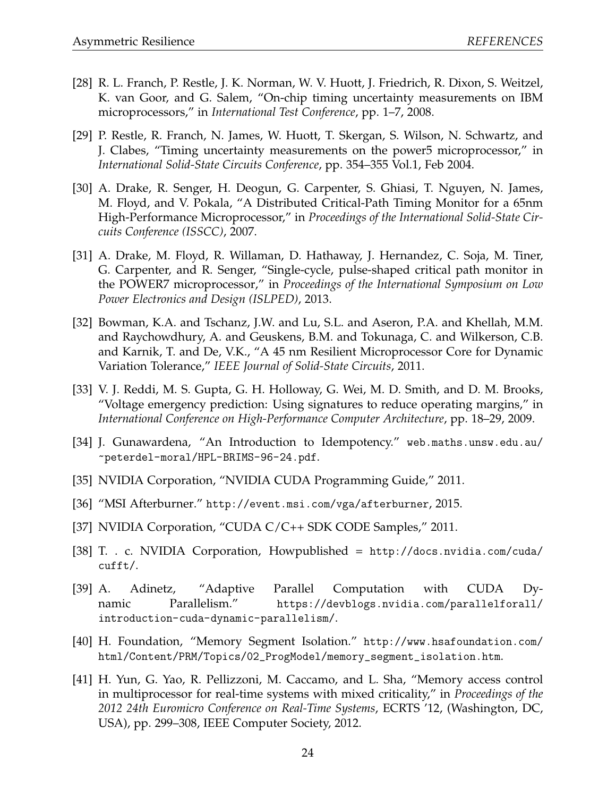- [28] R. L. Franch, P. Restle, J. K. Norman, W. V. Huott, J. Friedrich, R. Dixon, S. Weitzel, K. van Goor, and G. Salem, "On-chip timing uncertainty measurements on IBM microprocessors," in *International Test Conference*, pp. 1–7, 2008.
- [29] P. Restle, R. Franch, N. James, W. Huott, T. Skergan, S. Wilson, N. Schwartz, and J. Clabes, "Timing uncertainty measurements on the power5 microprocessor," in *International Solid-State Circuits Conference*, pp. 354–355 Vol.1, Feb 2004.
- [30] A. Drake, R. Senger, H. Deogun, G. Carpenter, S. Ghiasi, T. Nguyen, N. James, M. Floyd, and V. Pokala, "A Distributed Critical-Path Timing Monitor for a 65nm High-Performance Microprocessor," in *Proceedings of the International Solid-State Circuits Conference (ISSCC)*, 2007.
- [31] A. Drake, M. Floyd, R. Willaman, D. Hathaway, J. Hernandez, C. Soja, M. Tiner, G. Carpenter, and R. Senger, "Single-cycle, pulse-shaped critical path monitor in the POWER7 microprocessor," in *Proceedings of the International Symposium on Low Power Electronics and Design (ISLPED)*, 2013.
- [32] Bowman, K.A. and Tschanz, J.W. and Lu, S.L. and Aseron, P.A. and Khellah, M.M. and Raychowdhury, A. and Geuskens, B.M. and Tokunaga, C. and Wilkerson, C.B. and Karnik, T. and De, V.K., "A 45 nm Resilient Microprocessor Core for Dynamic Variation Tolerance," *IEEE Journal of Solid-State Circuits*, 2011.
- [33] V. J. Reddi, M. S. Gupta, G. H. Holloway, G. Wei, M. D. Smith, and D. M. Brooks, "Voltage emergency prediction: Using signatures to reduce operating margins," in *International Conference on High-Performance Computer Architecture*, pp. 18–29, 2009.
- [34] J. Gunawardena, "An Introduction to Idempotency." web.maths.unsw.edu.au/ ~peterdel-moral/HPL-BRIMS-96-24.pdf.
- [35] NVIDIA Corporation, "NVIDIA CUDA Programming Guide," 2011.
- [36] "MSI Afterburner." http://event.msi.com/vga/afterburner, 2015.
- [37] NVIDIA Corporation, "CUDA C/C++ SDK CODE Samples," 2011.
- [38] T. . c. NVIDIA Corporation, Howpublished = http://docs.nvidia.com/cuda/ cufft/.
- [39] A. Adinetz, "Adaptive Parallel Computation with CUDA Dynamic Parallelism." https://devblogs.nvidia.com/parallelforall/ introduction-cuda-dynamic-parallelism/.
- [40] H. Foundation, "Memory Segment Isolation." http://www.hsafoundation.com/ html/Content/PRM/Topics/02\_ProgModel/memory\_segment\_isolation.htm.
- [41] H. Yun, G. Yao, R. Pellizzoni, M. Caccamo, and L. Sha, "Memory access control in multiprocessor for real-time systems with mixed criticality," in *Proceedings of the 2012 24th Euromicro Conference on Real-Time Systems*, ECRTS '12, (Washington, DC, USA), pp. 299–308, IEEE Computer Society, 2012.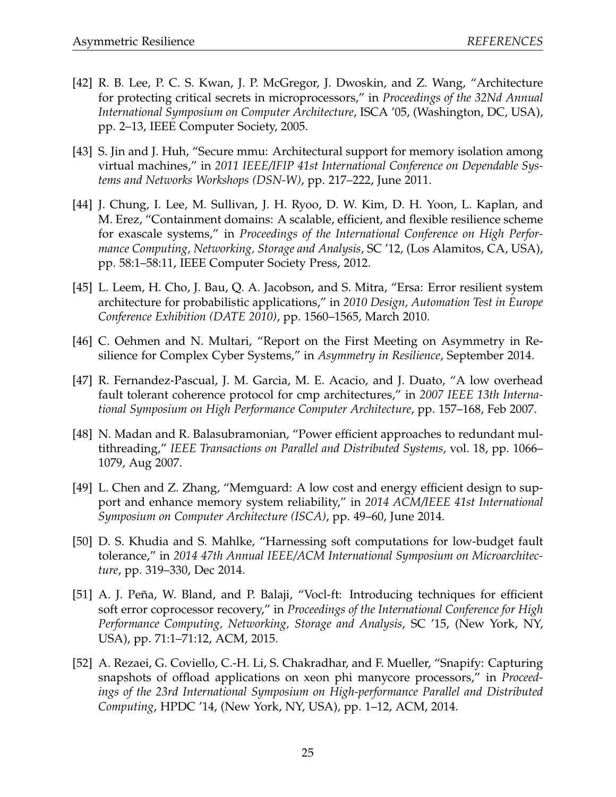- [42] R. B. Lee, P. C. S. Kwan, J. P. McGregor, J. Dwoskin, and Z. Wang, "Architecture for protecting critical secrets in microprocessors," in *Proceedings of the 32Nd Annual International Symposium on Computer Architecture*, ISCA '05, (Washington, DC, USA), pp. 2–13, IEEE Computer Society, 2005.
- [43] S. Jin and J. Huh, "Secure mmu: Architectural support for memory isolation among virtual machines," in *2011 IEEE/IFIP 41st International Conference on Dependable Systems and Networks Workshops (DSN-W)*, pp. 217–222, June 2011.
- [44] J. Chung, I. Lee, M. Sullivan, J. H. Ryoo, D. W. Kim, D. H. Yoon, L. Kaplan, and M. Erez, "Containment domains: A scalable, efficient, and flexible resilience scheme for exascale systems," in *Proceedings of the International Conference on High Performance Computing, Networking, Storage and Analysis*, SC '12, (Los Alamitos, CA, USA), pp. 58:1–58:11, IEEE Computer Society Press, 2012.
- [45] L. Leem, H. Cho, J. Bau, Q. A. Jacobson, and S. Mitra, "Ersa: Error resilient system architecture for probabilistic applications," in *2010 Design, Automation Test in Europe Conference Exhibition (DATE 2010)*, pp. 1560–1565, March 2010.
- [46] C. Oehmen and N. Multari, "Report on the First Meeting on Asymmetry in Resilience for Complex Cyber Systems," in *Asymmetry in Resilience*, September 2014.
- [47] R. Fernandez-Pascual, J. M. Garcia, M. E. Acacio, and J. Duato, "A low overhead fault tolerant coherence protocol for cmp architectures," in *2007 IEEE 13th International Symposium on High Performance Computer Architecture*, pp. 157–168, Feb 2007.
- [48] N. Madan and R. Balasubramonian, "Power efficient approaches to redundant multithreading," *IEEE Transactions on Parallel and Distributed Systems*, vol. 18, pp. 1066– 1079, Aug 2007.
- [49] L. Chen and Z. Zhang, "Memguard: A low cost and energy efficient design to support and enhance memory system reliability," in *2014 ACM/IEEE 41st International Symposium on Computer Architecture (ISCA)*, pp. 49–60, June 2014.
- [50] D. S. Khudia and S. Mahlke, "Harnessing soft computations for low-budget fault tolerance," in *2014 47th Annual IEEE/ACM International Symposium on Microarchitecture*, pp. 319–330, Dec 2014.
- [51] A. J. Peña, W. Bland, and P. Balaji, "Vocl-ft: Introducing techniques for efficient soft error coprocessor recovery," in *Proceedings of the International Conference for High Performance Computing, Networking, Storage and Analysis*, SC '15, (New York, NY, USA), pp. 71:1–71:12, ACM, 2015.
- [52] A. Rezaei, G. Coviello, C.-H. Li, S. Chakradhar, and F. Mueller, "Snapify: Capturing snapshots of offload applications on xeon phi manycore processors," in *Proceedings of the 23rd International Symposium on High-performance Parallel and Distributed Computing*, HPDC '14, (New York, NY, USA), pp. 1–12, ACM, 2014.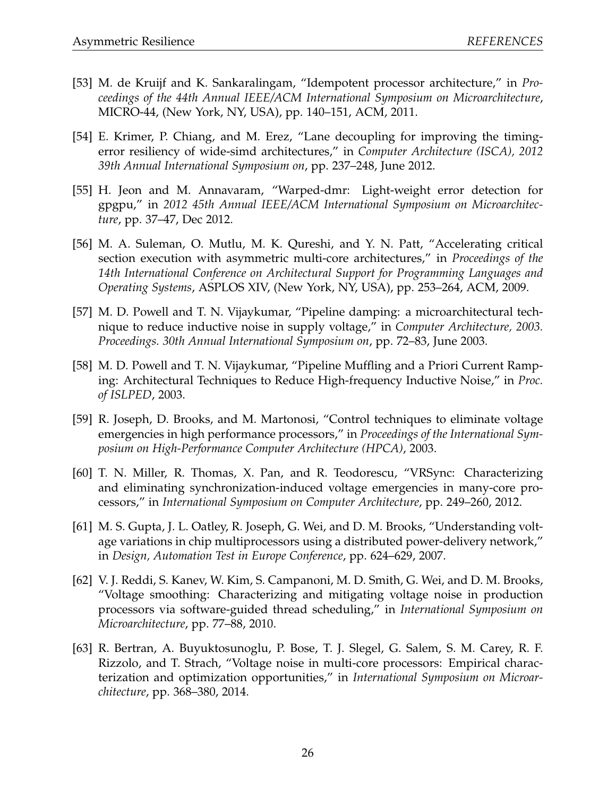- [53] M. de Kruijf and K. Sankaralingam, "Idempotent processor architecture," in *Proceedings of the 44th Annual IEEE/ACM International Symposium on Microarchitecture*, MICRO-44, (New York, NY, USA), pp. 140–151, ACM, 2011.
- [54] E. Krimer, P. Chiang, and M. Erez, "Lane decoupling for improving the timingerror resiliency of wide-simd architectures," in *Computer Architecture (ISCA), 2012 39th Annual International Symposium on*, pp. 237–248, June 2012.
- [55] H. Jeon and M. Annavaram, "Warped-dmr: Light-weight error detection for gpgpu," in *2012 45th Annual IEEE/ACM International Symposium on Microarchitecture*, pp. 37–47, Dec 2012.
- [56] M. A. Suleman, O. Mutlu, M. K. Qureshi, and Y. N. Patt, "Accelerating critical section execution with asymmetric multi-core architectures," in *Proceedings of the 14th International Conference on Architectural Support for Programming Languages and Operating Systems*, ASPLOS XIV, (New York, NY, USA), pp. 253–264, ACM, 2009.
- [57] M. D. Powell and T. N. Vijaykumar, "Pipeline damping: a microarchitectural technique to reduce inductive noise in supply voltage," in *Computer Architecture, 2003. Proceedings. 30th Annual International Symposium on*, pp. 72–83, June 2003.
- [58] M. D. Powell and T. N. Vijaykumar, "Pipeline Muffling and a Priori Current Ramping: Architectural Techniques to Reduce High-frequency Inductive Noise," in *Proc. of ISLPED*, 2003.
- [59] R. Joseph, D. Brooks, and M. Martonosi, "Control techniques to eliminate voltage emergencies in high performance processors," in *Proceedings of the International Symposium on High-Performance Computer Architecture (HPCA)*, 2003.
- [60] T. N. Miller, R. Thomas, X. Pan, and R. Teodorescu, "VRSync: Characterizing and eliminating synchronization-induced voltage emergencies in many-core processors," in *International Symposium on Computer Architecture*, pp. 249–260, 2012.
- [61] M. S. Gupta, J. L. Oatley, R. Joseph, G. Wei, and D. M. Brooks, "Understanding voltage variations in chip multiprocessors using a distributed power-delivery network," in *Design, Automation Test in Europe Conference*, pp. 624–629, 2007.
- [62] V. J. Reddi, S. Kanev, W. Kim, S. Campanoni, M. D. Smith, G. Wei, and D. M. Brooks, "Voltage smoothing: Characterizing and mitigating voltage noise in production processors via software-guided thread scheduling," in *International Symposium on Microarchitecture*, pp. 77–88, 2010.
- [63] R. Bertran, A. Buyuktosunoglu, P. Bose, T. J. Slegel, G. Salem, S. M. Carey, R. F. Rizzolo, and T. Strach, "Voltage noise in multi-core processors: Empirical characterization and optimization opportunities," in *International Symposium on Microarchitecture*, pp. 368–380, 2014.